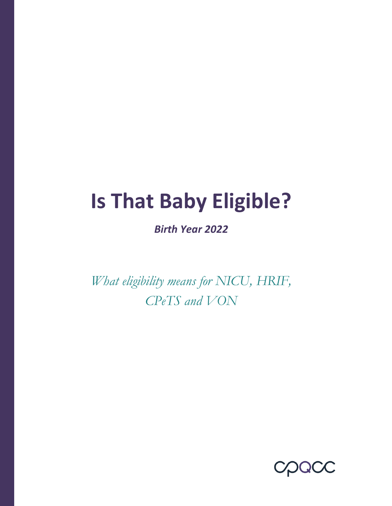# **Is That Baby Eligible?**

*Birth Year 2022*

*What eligibility means for NICU, HRIF, CPeTS and VON* 

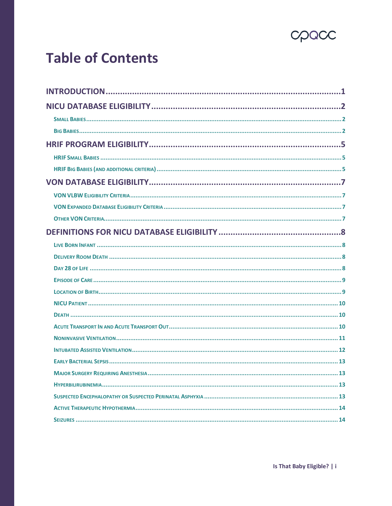

## **Table of Contents**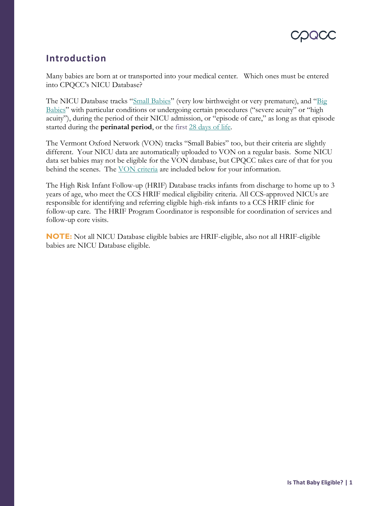### <span id="page-2-0"></span>**Introduction**

Many babies are born at or transported into your medical center. Which ones must be entered into CPQCC's NICU Database?

The NICU Database tracks "Small Babies" (very low birthweight or very premature), and "Big Babies" with particular conditions or undergoing certain procedures ("severe acuity" or "high acuity"), during the period of their NICU admission, or "episode of care," as long as that episode started during the **perinatal period**, or the first [28 days of life.](#page-9-3)

The Vermont Oxford Network (VON) tracks "Small Babies" too, but their criteria are slightly different. Your NICU data are automatically uploaded to VON on a regular basis. Some NICU data set babies may not be eligible for the VON database, but CPQCC takes care of that for you behind the scenes. The VON criteria are included below for your information.

The High Risk Infant Follow-up (HRIF) Database tracks infants from discharge to home up to 3 years of age, who meet the CCS HRIF medical eligibility criteria. All CCS-approved NICUs are responsible for identifying and referring eligible high-risk infants to a CCS HRIF clinic for follow-up care. The HRIF Program Coordinator is responsible for coordination of services and follow-up core visits.

**NOTE:** Not all NICU Database eligible babies are HRIF-eligible, also not all HRIF-eligible babies are NICU Database eligible.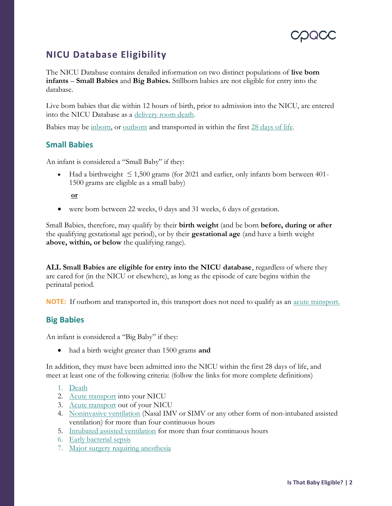

### <span id="page-3-0"></span>**NICU Database Eligibility**

The NICU Database contains detailed information on two distinct populations of **live born infants** – **Small Babies** and **Big Babies.** Stillborn babies are not eligible for entry into the database.

Live born babies that die within 12 hours of birth, prior to admission into the NICU, are entered into the NICU Database as a [delivery room death.](#page-9-2)

Babies may be [inborn,](#page-10-2) o[r outborn](#page-10-3) and transported in within the first [28 days of life.](#page-9-3)

#### <span id="page-3-1"></span>**Small Babies**

An infant is considered a "Small Baby" if they:

• Had a birthweight  $\leq 1,500$  grams (for 2021 and earlier, only infants born between 401-1500 grams are eligible as a small baby)

**or**

• were born between 22 weeks, 0 days and 31 weeks, 6 days of gestation.

Small Babies, therefore, may qualify by their **birth weight** (and be born **before, during or after** the qualifying gestational age period), or by their **gestational age** (and have a birth weight **above, within, or below** the qualifying range).

**ALL Small Babies are eligible for entry into the NICU database**, regardless of where they are cared for (in the NICU or elsewhere), as long as the episode of care begins within the perinatal period.

**NOTE:** If outborn and transported in, this transport does not need to qualify as an <u>acute transport.</u>

#### <span id="page-3-2"></span>**Big Babies**

An infant is considered a "Big Baby" if they:

• had a birth weight greater than 1500 grams **and**

In addition, they must have been admitted into the NICU within the first 28 days of life, and meet at least one of the following criteria: (follow the links for more complete definitions)

- 1. Death
- 2. Acute transport into your NICU
- 3. Acute transport out of your NICU
- 4. Noninvasive ventilation (Nasal IMV or SIMV or any other form of non-intubated assisted ventilation) for more than four continuous hours
- 5. Intubated assisted ventilation for more than four continuous hours
- 6. Early bacterial sepsis
- 7. Major surgery requiring anesthesia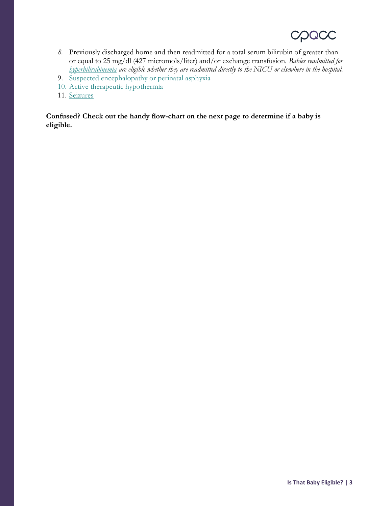## QCC

- *8.* Previously discharged home and then readmitted for a total serum bilirubin of greater than or equal to 25 mg/dl (427 micromols/liter) and/or exchange transfusion. *Babies readmitted for hyperbilirubinemia are eligible whether they are readmitted directly to the NICU or elsewhere in the hospital.*
- 9. Suspected encephalopathy or perinatal asphyxia
- 10. Active therapeutic hypothermia
- 11. Seizures

**Confused? Check out the handy flow-chart on the next page to determine if a baby is eligible.**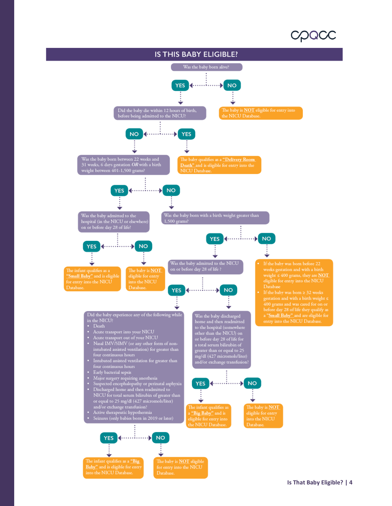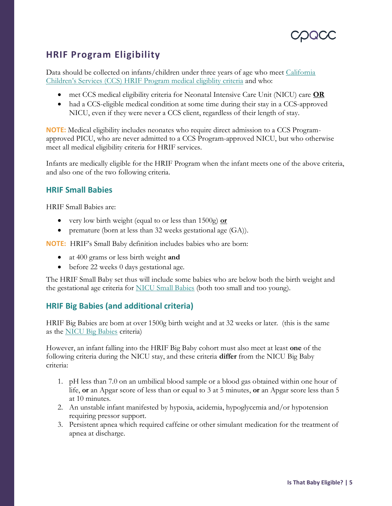

#### <span id="page-6-0"></span>**HRIF Program Eligibility**

Data should be collected on infants/children under three years of age who meet [California](https://www.cpqcc.org/sites/default/files/CCS%20HRIF%20Prog%20Med%20Criteria_flow%20chart_DEC2018.pdf)  [Children's Services \(CCS\) HRIF Program medical eligiblity criteria](https://www.cpqcc.org/sites/default/files/CCS%20HRIF%20Prog%20Med%20Criteria_flow%20chart_DEC2018.pdf) and who:

- met CCS medical eligibility criteria for Neonatal Intensive Care Unit (NICU) care **OR**
- had a CCS-eligible medical condition at some time during their stay in a CCS-approved NICU, even if they were never a CCS client, regardless of their length of stay.

**NOTE:** Medical eligibility includes neonates who require direct admission to a CCS Programapproved PICU, who are never admitted to a CCS Program-approved NICU, but who otherwise meet all medical eligibility criteria for HRIF services.

Infants are medically eligible for the HRIF Program when the infant meets one of the above criteria, and also one of the two following criteria.

#### <span id="page-6-1"></span>**HRIF Small Babies**

HRIF Small Babies are:

- very low birth weight (equal to or less than 1500g) **or**
- premature (born at less than 32 weeks gestational age (GA)).

**NOTE:** HRIF's Small Baby definition includes babies who are born:

- at 400 grams or less birth weight **and**
- before 22 weeks 0 days gestational age.

The HRIF Small Baby set thus will include some babies who are below both the birth weight and the gestational age criteria for NICU Small Babies (both too small and too young).

#### <span id="page-6-2"></span>**HRIF Big Babies (and additional criteria)**

HRIF Big Babies are born at over 1500g birth weight and at 32 weeks or later. (this is the same as the NICU Big Babies criteria)

However, an infant falling into the HRIF Big Baby cohort must also meet at least **one** of the following criteria during the NICU stay, and these criteria **differ** from the NICU Big Baby criteria:

- 1. pH less than 7.0 on an umbilical blood sample or a blood gas obtained within one hour of life, **or** an Apgar score of less than or equal to 3 at 5 minutes, **or** an Apgar score less than 5 at 10 minutes.
- 2. An unstable infant manifested by hypoxia, acidemia, hypoglycemia and/or hypotension requiring pressor support.
- 3. Persistent apnea which required caffeine or other simulant medication for the treatment of apnea at discharge.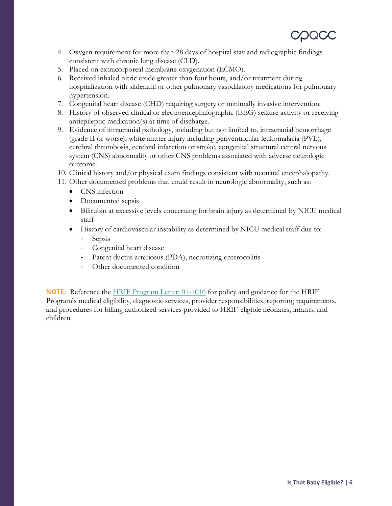- 4. Oxygen requirement for more than 28 days of hospital stay and radiographic findings consistent with chronic lung disease (CLD).
- 5. Placed on extracorporeal membrane oxygenation (ECMO).
- 6. Received inhaled nitric oxide greater than four hours, and/or treatment during hospitalization with sildenafil or other pulmonary vasodilatory medications for pulmonary hypertension.
- 7. Congenital heart disease (CHD) requiring surgery or minimally invasive intervention.
- 8. History of observed clinical or electroencephalographic (EEG) seizure activity or receiving antiepileptic medication(s) at time of discharge.
- 9. Evidence of intracranial pathology, including but not limited to, intracranial hemorrhage (grade II or worse), white matter injury including periventricular leukomalacia (PVL), cerebral thrombosis, cerebral infarction or stroke, congenital structural central nervous system (CNS) abnormality or other CNS problems associated with adverse neurologic outcome.
- 10. Clinical history and/or physical exam findings consistent with neonatal encephalopathy.
- 11. Other documented problems that could result in neurologic abnormality, such as:
	- CNS infection
	- Documented sepsis
	- Bilirubin at excessive levels concerning for brain injury as determined by NICU medical staff
	- History of cardiovascular instability as determined by NICU medical staff due to:
		- Sepsis
		- Congenital heart disease
		- Patent ductus arteriosus (PDA), necrotizing enterocolitis
		- Other documented condition

**NOTE:** Reference the [HRIF Program Letter: 01-1016](https://www.dhcs.ca.gov/services/ccs/Documents/hrif011016.pdf) for policy and guidance for the HRIF Program's medical eligibility, diagnostic services, provider responsibilities, reporting requirements, and procedures for billing authorized services provided to HRIF-eligible neonates, infants, and children.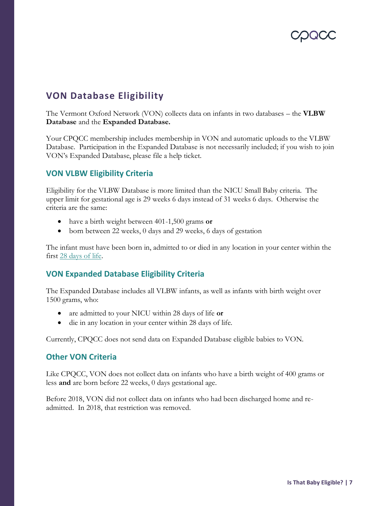

#### <span id="page-8-0"></span>**VON Database Eligibility**

The Vermont Oxford Network (VON) collects data on infants in two databases – the **VLBW Database** and the **Expanded Database.** 

Your CPQCC membership includes membership in VON and automatic uploads to the VLBW Database. Participation in the Expanded Database is not necessarily included; if you wish to join VON's Expanded Database, please file a help ticket.

#### <span id="page-8-1"></span>**VON VLBW Eligibility Criteria**

Eligibility for the VLBW Database is more limited than the NICU Small Baby criteria. The upper limit for gestational age is 29 weeks 6 days instead of 31 weeks 6 days. Otherwise the criteria are the same:

- have a birth weight between 401-1,500 grams **or**
- born between 22 weeks, 0 days and 29 weeks, 6 days of gestation

The infant must have been born in, admitted to or died in any location in your center within the first [28 days of life.](#page-9-3)

#### <span id="page-8-2"></span>**VON Expanded Database Eligibility Criteria**

The Expanded Database includes all VLBW infants, as well as infants with birth weight over 1500 grams, who:

- are admitted to your NICU within 28 days of life **or**
- die in any location in your center within 28 days of life.

Currently, CPQCC does not send data on Expanded Database eligible babies to VON.

#### <span id="page-8-3"></span>**Other VON Criteria**

Like CPQCC, VON does not collect data on infants who have a birth weight of 400 grams or less **and** are born before 22 weeks, 0 days gestational age.

Before 2018, VON did not collect data on infants who had been discharged home and readmitted. In 2018, that restriction was removed.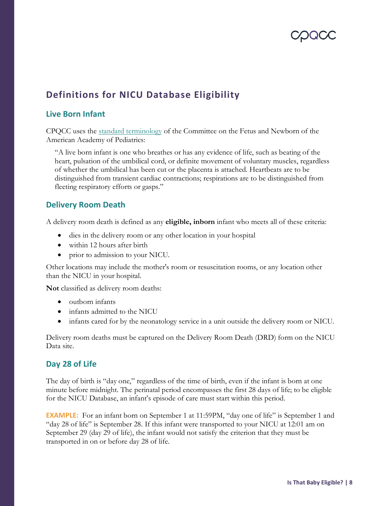

### <span id="page-9-0"></span>**Definitions for NICU Database Eligibility**

#### <span id="page-9-1"></span>**Live Born Infant**

CPQCC uses the [standard terminology](http://pediatrics.aappublications.org/content/128/1/177) of the Committee on the Fetus and Newborn of the American Academy of Pediatrics:

"A live born infant is one who breathes or has any evidence of life, such as beating of the heart, pulsation of the umbilical cord, or definite movement of voluntary muscles, regardless of whether the umbilical has been cut or the placenta is attached. Heartbeats are to be distinguished from transient cardiac contractions; respirations are to be distinguished from fleeting respiratory efforts or gasps."

#### <span id="page-9-2"></span>**Delivery Room Death**

A delivery room death is defined as any **eligible, inborn** infant who meets all of these criteria:

- dies in the delivery room or any other location in your hospital
- within 12 hours after birth
- prior to admission to your NICU.

Other locations may include the mother's room or resuscitation rooms, or any location other than the NICU in your hospital.

**Not** classified as delivery room deaths:

- outborn infants
- infants admitted to the NICU
- infants cared for by the neonatology service in a unit outside the delivery room or NICU.

Delivery room deaths must be captured on the Delivery Room Death (DRD) form on the NICU Data site.

#### <span id="page-9-3"></span>**Day 28 of Life**

The day of birth is "day one," regardless of the time of birth, even if the infant is born at one minute before midnight. The perinatal period encompasses the first 28 days of life; to be eligible for the NICU Database, an infant's episode of care must start within this period.

**EXAMPLE:** For an infant born on September 1 at 11:59PM, "day one of life" is September 1 and "day 28 of life" is September 28. If this infant were transported to your NICU at 12:01 am on September 29 (day 29 of life), the infant would not satisfy the criterion that they must be transported in on or before day 28 of life.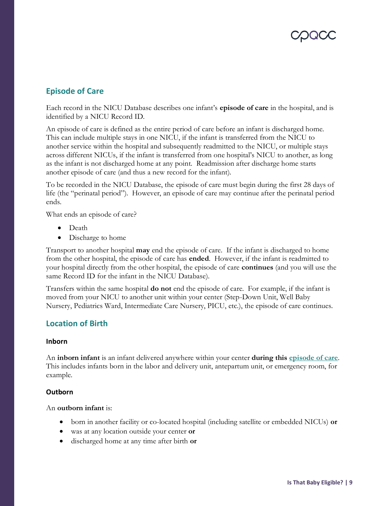#### <span id="page-10-4"></span><span id="page-10-0"></span>**Episode of Care**

Each record in the NICU Database describes one infant's **episode of care** in the hospital, and is identified by a NICU Record ID.

An episode of care is defined as the entire period of care before an infant is discharged home. This can include multiple stays in one NICU, if the infant is transferred from the NICU to another service within the hospital and subsequently readmitted to the NICU, or multiple stays across different NICUs, if the infant is transferred from one hospital's NICU to another, as long as the infant is not discharged home at any point. Readmission after discharge home starts another episode of care (and thus a new record for the infant).

To be recorded in the NICU Database, the episode of care must begin during the first 28 days of life (the "perinatal period"). However, an episode of care may continue after the perinatal period ends.

What ends an episode of care?

- Death
- Discharge to home

Transport to another hospital **may** end the episode of care. If the infant is discharged to home from the other hospital, the episode of care has **ended**. However, if the infant is readmitted to your hospital directly from the other hospital, the episode of care **continues** (and you will use the same Record ID for the infant in the NICU Database).

Transfers within the same hospital **do not** end the episode of care. For example, if the infant is moved from your NICU to another unit within your center (Step-Down Unit, Well Baby Nursery, Pediatrics Ward, Intermediate Care Nursery, PICU, etc.), the episode of care continues.

#### <span id="page-10-1"></span>**Location of Birth**

#### <span id="page-10-2"></span>**Inborn**

An **inborn infant** is an infant delivered anywhere within your center **during this [episode of care](#page-10-4)**. This includes infants born in the labor and delivery unit, antepartum unit, or emergency room, for example.

#### <span id="page-10-3"></span>**Outborn**

#### An **outborn infant** is:

- born in another facility or co-located hospital (including satellite or embedded NICUs) **or**
- was at any location outside your center **or**
- discharged home at any time after birth **or**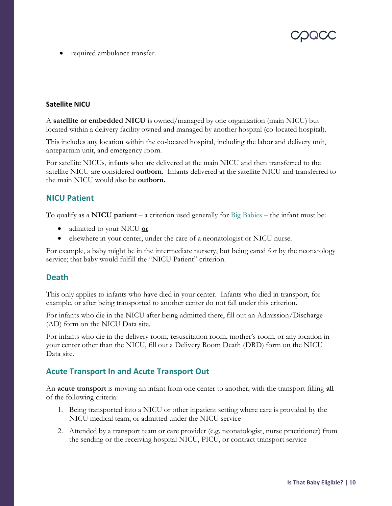

<span id="page-11-3"></span>• required ambulance transfer.

#### **Satellite NICU**

A **satellite or embedded NICU** is owned/managed by one organization (main NICU) but located within a delivery facility owned and managed by another hospital (co-located hospital).

This includes any location within the co-located hospital, including the labor and delivery unit, antepartum unit, and emergency room.

For satellite NICUs, infants who are delivered at the main NICU and then transferred to the satellite NICU are considered **outborn**. Infants delivered at the satellite NICU and transferred to the main NICU would also be **outborn.**

#### <span id="page-11-0"></span>**NICU Patient**

To qualify as a **NICU patient** – a criterion used generally for [Big Babies](#page-3-2) – the infant must be:

- admitted to your NICU **or**
- elsewhere in your center, under the care of a neonatologist or NICU nurse.

For example, a baby might be in the intermediate nursery, but being cared for by the neonatology service; that baby would fulfill the "NICU Patient" criterion.

#### <span id="page-11-1"></span>**Death**

This only applies to infants who have died in your center. Infants who died in transport, for example, or after being transported to another center do not fall under this criterion.

For infants who die in the NICU after being admitted there, fill out an Admission/Discharge (AD) form on the NICU Data site.

For infants who die in the delivery room, resuscitation room, mother's room, or any location in your center other than the NICU, fill out a Delivery Room Death (DRD) form on the NICU Data site.

#### <span id="page-11-2"></span>**Acute Transport In and Acute Transport Out**

An **acute transport** is moving an infant from one center to another, with the transport filling **all** of the following criteria:

- 1. Being transported into a NICU or other inpatient setting where care is provided by the NICU medical team, or admitted under the NICU service
- 2. Attended by a transport team or care provider (e.g. neonatologist, nurse practitioner) from the sending or the receiving hospital NICU, PICU, or contract transport service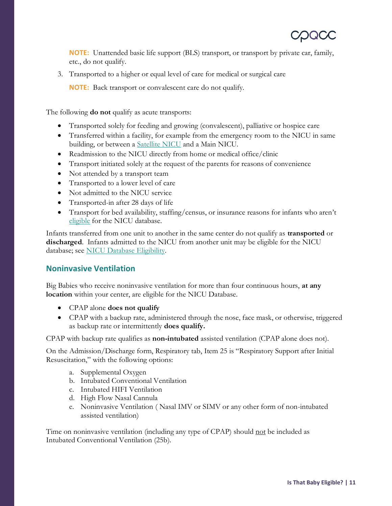**NOTE:** Unattended basic life support (BLS) transport, or transport by private car, family, etc., do not qualify.

3. Transported to a higher or equal level of care for medical or surgical care

**NOTE:** Back transport or convalescent care do not qualify.

The following **do not** qualify as acute transports:

- Transported solely for feeding and growing (convalescent), palliative or hospice care
- Transferred within a facility, for example from the emergency room to the NICU in same building, or between a [Satellite NICU](#page-11-3) and a Main NICU.
- Readmission to the NICU directly from home or medical office/clinic
- Transport initiated solely at the request of the parents for reasons of convenience
- Not attended by a transport team
- Transported to a lower level of care
- Not admitted to the NICU service
- Transported-in after 28 days of life
- Transport for bed availability, staffing/census, or insurance reasons for infants who aren't eligible for the NICU database.

Infants transferred from one unit to another in the same center do not qualify as **transported** or **discharged**. Infants admitted to the NICU from another unit may be eligible for the NICU database; see NICU Database Eligibility.

#### <span id="page-12-0"></span>**Noninvasive Ventilation**

Big Babies who receive noninvasive ventilation for more than four continuous hours, **at any location** within your center, are eligible for the NICU Database.

- CPAP alone **does not qualify**
- CPAP with a backup rate, administered through the nose, face mask, or otherwise, triggered as backup rate or intermittently **does qualify.**

CPAP with backup rate qualifies as **non-intubated** assisted ventilation (CPAP alone does not).

On the Admission/Discharge form, Respiratory tab, Item 25 is "Respiratory Support after Initial Resuscitation," with the following options:

- a. Supplemental Oxygen
- b. Intubated Conventional Ventilation
- c. Intubated HIFI Ventilation
- d. High Flow Nasal Cannula
- e. Noninvasive Ventilation ( Nasal IMV or SIMV or any other form of non-intubated assisted ventilation)

Time on noninvasive ventilation (including any type of CPAP) should not be included as Intubated Conventional Ventilation (25b).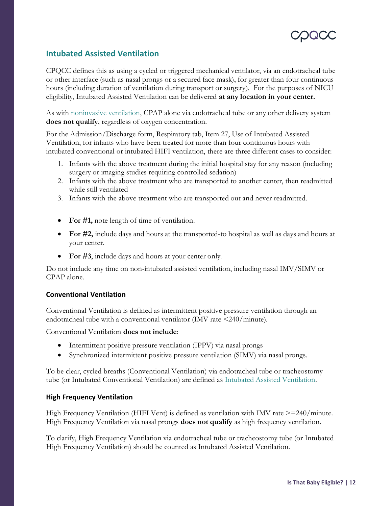

#### <span id="page-13-0"></span>**Intubated Assisted Ventilation**

CPQCC defines this as using a cycled or triggered mechanical ventilator, via an endotracheal tube or other interface (such as nasal prongs or a secured face mask), for greater than four continuous hours (including duration of ventilation during transport or surgery). For the purposes of NICU eligibility, Intubated Assisted Ventilation can be delivered **at any location in your center.**

As with [noninvasive ventilation,](#page-12-0) CPAP alone via endotracheal tube or any other delivery system **does not qualify**, regardless of oxygen concentration.

For the Admission/Discharge form, Respiratory tab, Item 27, Use of Intubated Assisted Ventilation, for infants who have been treated for more than four continuous hours with intubated conventional or intubated HIFI ventilation, there are three different cases to consider:

- 1. Infants with the above treatment during the initial hospital stay for any reason (including surgery or imaging studies requiring controlled sedation)
- 2. Infants with the above treatment who are transported to another center, then readmitted while still ventilated
- 3. Infants with the above treatment who are transported out and never readmitted.
- For #1, note length of time of ventilation.
- **For #2,** include days and hours at the transported-to hospital as well as days and hours at your center.
- For #3, include days and hours at your center only.

Do not include any time on non-intubated assisted ventilation, including nasal IMV/SIMV or CPAP alone.

#### **Conventional Ventilation**

Conventional Ventilation is defined as intermittent positive pressure ventilation through an endotracheal tube with a conventional ventilator (IMV rate <240/minute).

Conventional Ventilation **does not include**:

- Intermittent positive pressure ventilation (IPPV) via nasal prongs
- Synchronized intermittent positive pressure ventilation (SIMV) via nasal prongs.

To be clear, cycled breaths (Conventional Ventilation) via endotracheal tube or tracheostomy tube (or Intubated Conventional Ventilation) are defined as [Intubated Assisted Ventilation.](#page-13-0)

#### **High Frequency Ventilation**

High Frequency Ventilation (HIFI Vent) is defined as ventilation with IMV rate  $\geq$ =240/minute. High Frequency Ventilation via nasal prongs **does not qualify** as high frequency ventilation.

To clarify, High Frequency Ventilation via endotracheal tube or tracheostomy tube (or Intubated High Frequency Ventilation) should be counted as Intubated Assisted Ventilation.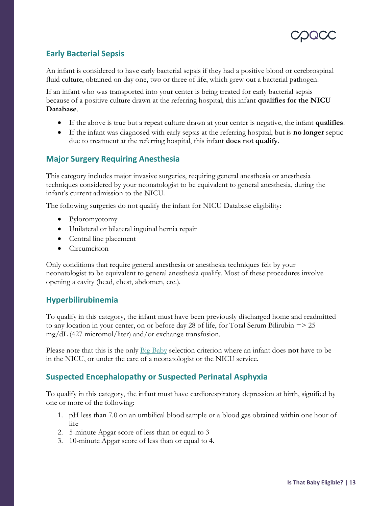#### <span id="page-14-0"></span>**Early Bacterial Sepsis**

An infant is considered to have early bacterial sepsis if they had a positive blood or cerebrospinal fluid culture, obtained on day one, two or three of life, which grew out a bacterial pathogen.

If an infant who was transported into your center is being treated for early bacterial sepsis because of a positive culture drawn at the referring hospital, this infant **qualifies for the NICU Database**.

- If the above is true but a repeat culture drawn at your center is negative, the infant **qualifies**.
- If the infant was diagnosed with early sepsis at the referring hospital, but is **no longer** septic due to treatment at the referring hospital, this infant **does not qualify**.

#### <span id="page-14-1"></span>**Major Surgery Requiring Anesthesia**

This category includes major invasive surgeries, requiring general anesthesia or anesthesia techniques considered by your neonatologist to be equivalent to general anesthesia, during the infant's current admission to the NICU.

The following surgeries do not qualify the infant for NICU Database eligibility:

- Pyloromyotomy
- Unilateral or bilateral inguinal hernia repair
- Central line placement
- Circumcision

Only conditions that require general anesthesia or anesthesia techniques felt by your neonatologist to be equivalent to general anesthesia qualify. Most of these procedures involve opening a cavity (head, chest, abdomen, etc.).

#### <span id="page-14-2"></span>**Hyperbilirubinemia**

To qualify in this category, the infant must have been previously discharged home and readmitted to any location in your center, on or before day 28 of life, for Total Serum Bilirubin => 25 mg/dL (427 micromol/liter) and/or exchange transfusion.

Please note that this is the only Big Baby selection criterion where an infant does **not** have to be in the NICU, or under the care of a neonatologist or the NICU service.

#### <span id="page-14-3"></span>**Suspected Encephalopathy or Suspected Perinatal Asphyxia**

To qualify in this category, the infant must have cardiorespiratory depression at birth, signified by one or more of the following:

- 1. pH less than 7.0 on an umbilical blood sample or a blood gas obtained within one hour of life
- 2. 5-minute Apgar score of less than or equal to 3
- 3. 10-minute Apgar score of less than or equal to 4.